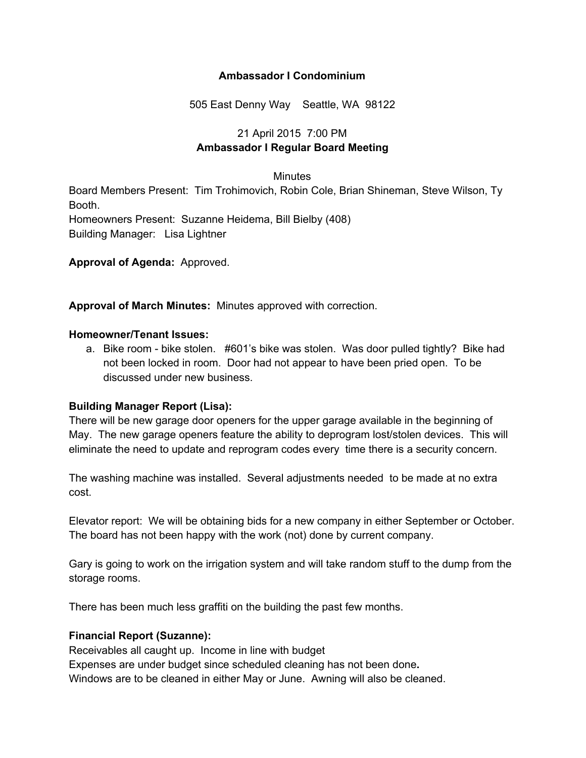#### **Ambassador I Condominium**

505 East Denny Way Seattle, WA 98122

# 21 April 2015 7:00 PM **Ambassador I Regular Board Meeting**

#### **Minutes**

Board Members Present: Tim Trohimovich, Robin Cole, Brian Shineman, Steve Wilson, Ty Booth. Homeowners Present: Suzanne Heidema, Bill Bielby (408) Building Manager: Lisa Lightner

**Approval of Agenda:** Approved.

**Approval of March Minutes:** Minutes approved with correction.

#### **Homeowner/Tenant Issues:**

a. Bike room - bike stolen. #601's bike was stolen. Was door pulled tightly? Bike had not been locked in room. Door had not appear to have been pried open. To be discussed under new business.

# **Building Manager Report (Lisa):**

There will be new garage door openers for the upper garage available in the beginning of May. The new garage openers feature the ability to deprogram lost/stolen devices. This will eliminate the need to update and reprogram codes every time there is a security concern.

The washing machine was installed. Several adjustments needed to be made at no extra cost.

Elevator report: We will be obtaining bids for a new company in either September or October. The board has not been happy with the work (not) done by current company.

Gary is going to work on the irrigation system and will take random stuff to the dump from the storage rooms.

There has been much less graffiti on the building the past few months.

# **Financial Report (Suzanne):**

Receivables all caught up. Income in line with budget

Expenses are under budget since scheduled cleaning has not been done**.**

Windows are to be cleaned in either May or June. Awning will also be cleaned.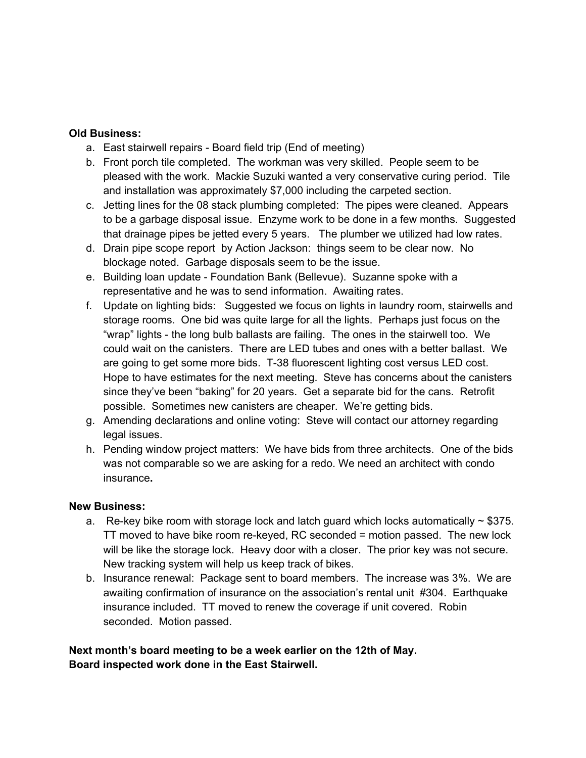#### **Old Business:**

- a. East stairwell repairs Board field trip (End of meeting)
- b. Front porch tile completed. The workman was very skilled. People seem to be pleased with the work. Mackie Suzuki wanted a very conservative curing period. Tile and installation was approximately \$7,000 including the carpeted section.
- c. Jetting lines for the 08 stack plumbing completed: The pipes were cleaned. Appears to be a garbage disposal issue. Enzyme work to be done in a few months. Suggested that drainage pipes be jetted every 5 years. The plumber we utilized had low rates.
- d. Drain pipe scope report by Action Jackson: things seem to be clear now. No blockage noted. Garbage disposals seem to be the issue.
- e. Building loan update Foundation Bank (Bellevue). Suzanne spoke with a representative and he was to send information. Awaiting rates.
- f. Update on lighting bids: Suggested we focus on lights in laundry room, stairwells and storage rooms. One bid was quite large for all the lights. Perhaps just focus on the "wrap" lights - the long bulb ballasts are failing. The ones in the stairwell too. We could wait on the canisters. There are LED tubes and ones with a better ballast. We are going to get some more bids. T-38 fluorescent lighting cost versus LED cost. Hope to have estimates for the next meeting. Steve has concerns about the canisters since they've been "baking" for 20 years. Get a separate bid for the cans. Retrofit possible. Sometimes new canisters are cheaper. We're getting bids.
- g. Amending declarations and online voting: Steve will contact our attorney regarding legal issues.
- h. Pending window project matters: We have bids from three architects. One of the bids was not comparable so we are asking for a redo. We need an architect with condo insurance**.**

# **New Business:**

- a. Re-key bike room with storage lock and latch guard which locks automatically  $\sim$  \$375. TT moved to have bike room rekeyed, RC seconded = motion passed. The new lock will be like the storage lock. Heavy door with a closer. The prior key was not secure. New tracking system will help us keep track of bikes.
- b. Insurance renewal: Package sent to board members. The increase was 3%. We are awaiting confirmation of insurance on the association's rental unit #304. Earthquake insurance included. TT moved to renew the coverage if unit covered. Robin seconded. Motion passed.

# **Next month's board meeting to be a week earlier on the 12th of May. Board inspected work done in the East Stairwell.**